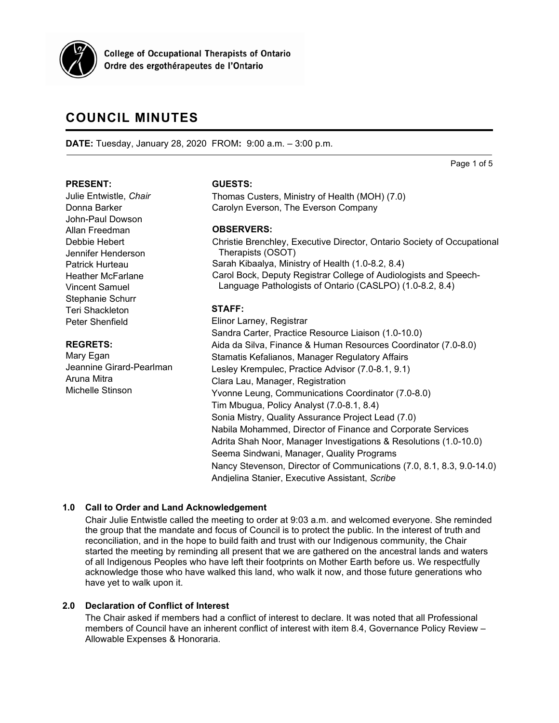

# **COUNCIL MINUTES**

**DATE:** Tuesday, January 28, 2020 FROM**:** 9:00 a.m. – 3:00 p.m.

Page 1 of 5

#### **PRESENT:**

Julie Entwistle, *Chair* Donna Barker John-Paul Dowson Allan Freedman Debbie Hebert Jennifer Henderson Patrick Hurteau Heather McFarlane Vincent Samuel Stephanie Schurr Teri Shackleton Peter Shenfield

#### **REGRETS:**

Mary Egan Jeannine Girard-Pearlman Aruna Mitra Michelle Stinson

# **GUESTS:**

Thomas Custers, Ministry of Health (MOH) (7.0) Carolyn Everson, The Everson Company

#### **OBSERVERS:**

 Sarah Kibaalya, Ministry of Health (1.0-8.2, 8.4) Language Pathologists of Ontario (CASLPO) (1.0-8.2, 8.4)Christie Brenchley, Executive Director, Ontario Society of Occupational Therapists (OSOT) Carol Bock, Deputy Registrar College of Audiologists and Speech-

# **STAFF:**

Elinor Larney, Registrar Sandra Carter, Practice Resource Liaison (1.0-10.0) Aida da Silva, Finance & Human Resources Coordinator (7.0-8.0) Stamatis Kefalianos, Manager Regulatory Affairs Lesley Krempulec, Practice Advisor (7.0-8.1, 9.1) Clara Lau, Manager, Registration Yvonne Leung, Communications Coordinator (7.0-8.0) Tim Mbugua, Policy Analyst (7.0-8.1, 8.4) Sonia Mistry, Quality Assurance Project Lead (7.0) Nabila Mohammed, Director of Finance and Corporate Services Adrita Shah Noor, Manager Investigations & Resolutions (1.0-10.0) Seema Sindwani, Manager, Quality Programs Nancy Stevenson, Director of Communications (7.0, 8.1, 8.3, 9.0-14.0) Andjelina Stanier, Executive Assistant, *Scribe*

# **1.0 Call to Order and Land Acknowledgement**

Chair Julie Entwistle called the meeting to order at 9:03 a.m. and welcomed everyone. She reminded the group that the mandate and focus of Council is to protect the public. In the interest of truth and reconciliation, and in the hope to build faith and trust with our Indigenous community, the Chair started the meeting by reminding all present that we are gathered on the ancestral lands and waters of all Indigenous Peoples who have left their footprints on Mother Earth before us. We respectfully acknowledge those who have walked this land, who walk it now, and those future generations who have yet to walk upon it.

# **2.0 Declaration of Conflict of Interest**

The Chair asked if members had a conflict of interest to declare. It was noted that all Professional members of Council have an inherent conflict of interest with item 8.4, Governance Policy Review – Allowable Expenses & Honoraria.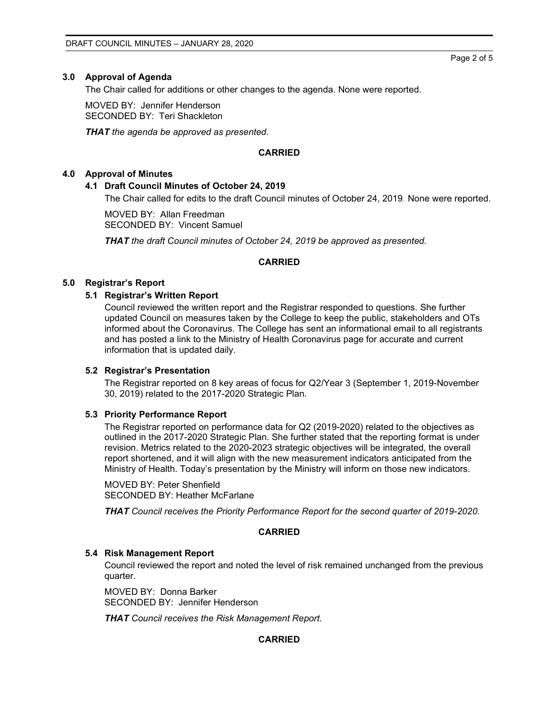#### **3.0 Approval of Agenda**

The Chair called for additions or other changes to the agenda. None were reported.

MOVED BY: Jennifer Henderson SECONDED BY: Teri Shackleton

*THAT the agenda be approved as presented.*

#### **CARRIED**

#### **4.0 Approval of Minutes**

#### **4.1 Draft Council Minutes of October 24, 2019**

The Chair called for edits to the draft Council minutes of October 24, 2019. None were reported.

MOVED BY: Allan Freedman SECONDED BY: Vincent Samuel

*THAT the draft Council minutes of October 24, 2019 be approved as presented.*

#### **CARRIED**

# **5.0 Registrar's Report**

#### **5.1 Registrar's Written Report**

Council reviewed the written report and the Registrar responded to questions. She further updated Council on measures taken by the College to keep the public, stakeholders and OTs informed about the Coronavirus. The College has sent an informational email to all registrants and has posted a link to the Ministry of Health Coronavirus page for accurate and current information that is updated daily.

#### **5.2 Registrar's Presentation**

The Registrar reported on 8 key areas of focus for Q2/Year 3 (September 1, 2019-November 30, 2019) related to the 2017-2020 Strategic Plan.

#### **5.3 Priority Performance Report**

The Registrar reported on performance data for Q2 (2019-2020) related to the objectives as outlined in the 2017-2020 Strategic Plan. She further stated that the reporting format is under revision. Metrics related to the 2020-2023 strategic objectives will be integrated, the overall report shortened, and it will align with the new measurement indicators anticipated from the Ministry of Health. Today's presentation by the Ministry will inform on those new indicators.

MOVED BY: Peter Shenfield SECONDED BY: Heather McFarlane

*THAT Council receives the Priority Performance Report for the second quarter of 2019-2020.*

#### **CARRIED**

#### **5.4 Risk Management Report**

Council reviewed the report and noted the level of risk remained unchanged from the previous quarter.

MOVED BY: Donna Barker SECONDED BY: Jennifer Henderson

*THAT Council receives the Risk Management Report.*

# **CARRIED**

Page 2 of 5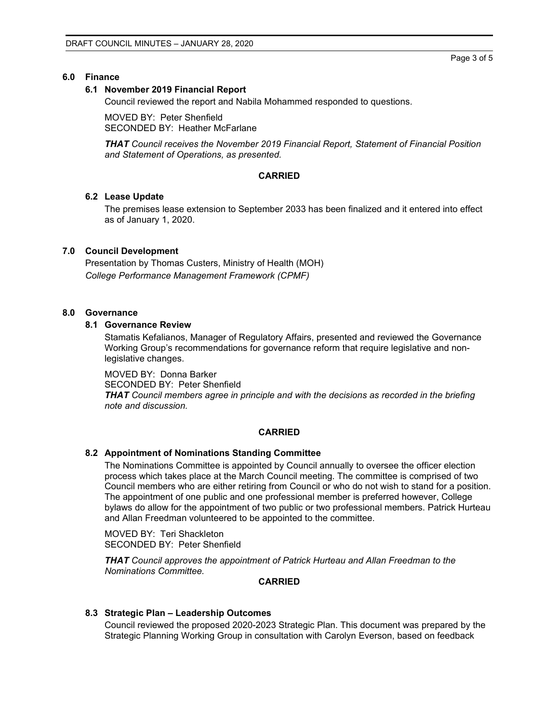# **6.0 Finance**

#### **6.1 November 2019 Financial Report**

Council reviewed the report and Nabila Mohammed responded to questions.

MOVED BY: Peter Shenfield SECONDED BY: Heather McFarlane

*THAT Council receives the November 2019 Financial Report, Statement of Financial Position and Statement of Operations, as presented.*

#### **CARRIED**

#### **6.2 Lease Update**

The premises lease extension to September 2033 has been finalized and it entered into effect as of January 1, 2020.

# **7.0 Council Development**

Presentation by Thomas Custers, Ministry of Health (MOH) *College Performance Management Framework (CPMF)*

#### **8.0 Governance**

#### **8.1 Governance Review**

Stamatis Kefalianos, Manager of Regulatory Affairs, presented and reviewed the Governance Working Group's recommendations for governance reform that require legislative and nonlegislative changes.

MOVED BY: Donna Barker SECONDED BY: Peter Shenfield *THAT Council members agree in principle and with the decisions as recorded in the briefing note and discussion.*

# **CARRIED**

#### **8.2 Appointment of Nominations Standing Committee**

The Nominations Committee is appointed by Council annually to oversee the officer election process which takes place at the March Council meeting. The committee is comprised of two Council members who are either retiring from Council or who do not wish to stand for a position. The appointment of one public and one professional member is preferred however, College bylaws do allow for the appointment of two public or two professional members. Patrick Hurteau and Allan Freedman volunteered to be appointed to the committee.

MOVED BY: Teri Shackleton SECONDED BY: Peter Shenfield

*THAT Council approves the appointment of Patrick Hurteau and Allan Freedman to the Nominations Committee.*

#### **CARRIED**

# **8.3 Strategic Plan – Leadership Outcomes**

Council reviewed the proposed 2020-2023 Strategic Plan. This document was prepared by the Strategic Planning Working Group in consultation with Carolyn Everson, based on feedback

Page 3 of 5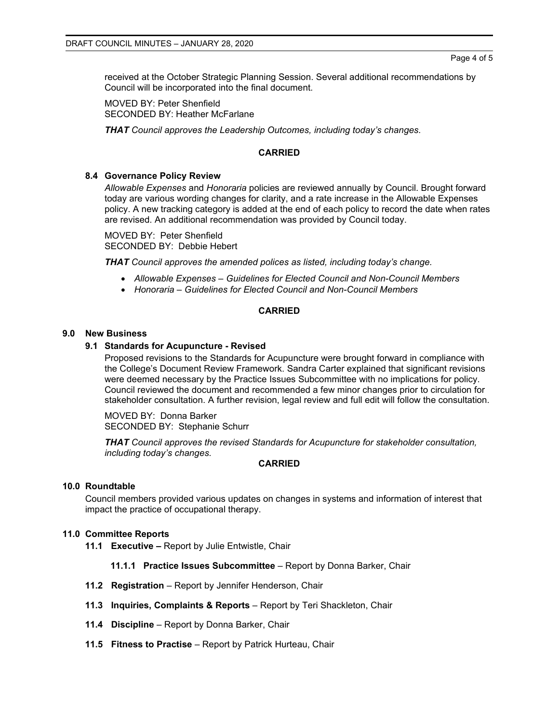Page 4 of 5

received at the October Strategic Planning Session. Several additional recommendations by Council will be incorporated into the final document.

MOVED BY: Peter Shenfield SECONDED BY: Heather McFarlane

*THAT Council approves the Leadership Outcomes, including today's changes.*

# **CARRIED**

# **8.4 Governance Policy Review**

*Allowable Expenses* and *Honoraria* policies are reviewed annually by Council. Brought forward today are various wording changes for clarity, and a rate increase in the Allowable Expenses policy. A new tracking category is added at the end of each policy to record the date when rates are revised. An additional recommendation was provided by Council today.

MOVED BY: Peter Shenfield SECONDED BY: Debbie Hebert

*THAT Council approves the amended polices as listed, including today's change.*

- *Allowable Expenses – Guidelines for Elected Council and Non-Council Members*
- *Honoraria – Guidelines for Elected Council and Non-Council Members*

#### **CARRIED**

#### **9.0 New Business**

# **9.1 Standards for Acupuncture - Revised**

Proposed revisions to the Standards for Acupuncture were brought forward in compliance with the College's Document Review Framework. Sandra Carter explained that significant revisions were deemed necessary by the Practice Issues Subcommittee with no implications for policy. Council reviewed the document and recommended a few minor changes prior to circulation for stakeholder consultation. A further revision, legal review and full edit will follow the consultation.

MOVED BY: Donna Barker SECONDED BY: Stephanie Schurr

*THAT Council approves the revised Standards for Acupuncture for stakeholder consultation, including today's changes.*

#### **CARRIED**

#### **10.0 Roundtable**

Council members provided various updates on changes in systems and information of interest that impact the practice of occupational therapy.

#### **11.0 Committee Reports**

**11.1 Executive –** Report by Julie Entwistle, Chair

**11.1.1 Practice Issues Subcommittee** – Report by Donna Barker, Chair

- **11.2 Registration** Report by Jennifer Henderson, Chair
- **11.3 Inquiries, Complaints & Reports** Report by Teri Shackleton, Chair
- **11.4 Discipline**  Report by Donna Barker, Chair
- **11.5 Fitness to Practise** Report by Patrick Hurteau, Chair